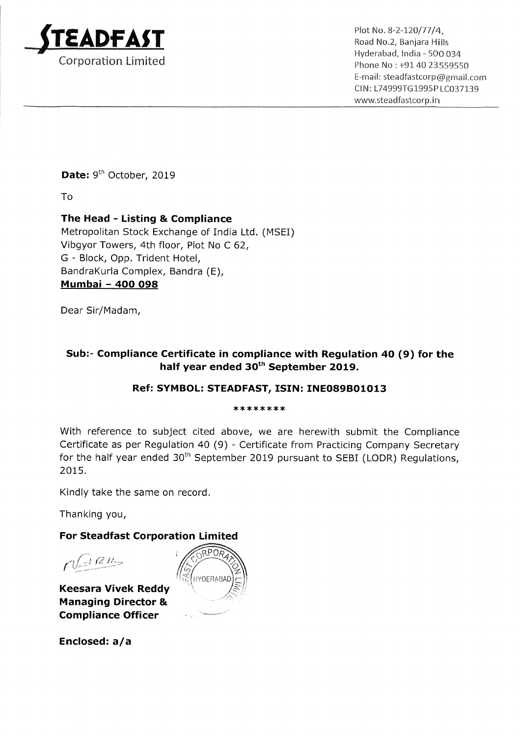

Plot No. 8-2-120/77/4,<br>Road No.2, Banjara Hills . \_ . Hyderabad, lndia « 500 034 Corporation Limited **Contract Contract Contract Contract Contract Contract Contract Contract Contract Contract Contract Contract Contract Phone No : +91 40 23559550** Email: steadfastcorp@gmail.com C|l\l: L74999T61995PLC037139 www.5teadfastcorp.in

Date: 9<sup>th</sup> October, 2019

To

## The Head - Listing & Compliance

Metropolitan Stock Exchange of India Ltd. (MSEI) Vibgyor Towers, 4th floor, Plot No <sup>C</sup> 62, G - Block, Opp. Trident Hotel, BandraKurla Complex, Bandra (E), Mumbai — 400 098

Dear Sir/Madam,

## Sub:— Compliance Certificate in compliance with Regulation 40 (9) for the half year ended 30<sup>th</sup> September 2019.

## Ref: SYMBOL: STEADFAST, ISIN: INE089B01013

#### \*\*\*\*\*\*\*\*

With reference to subject cited above, we are herewith submit the Compliance Certificate as per Regulation 40 (9) - Certificate from Practicing Company Secretary for the half year ended  $30<sup>th</sup>$  September 2019 pursuant to SEBI (LODR) Regulations, 2015.

Kindly take the same on record.

Thanking you,

### For Steadfast Corporation Limited

 $\Omega(LRR)$ 

Keesara Vivek Reddy  $\qquad \qquad ^{\wedge }$ Managing Director & Compliance Officer '



Enclosed: a/a